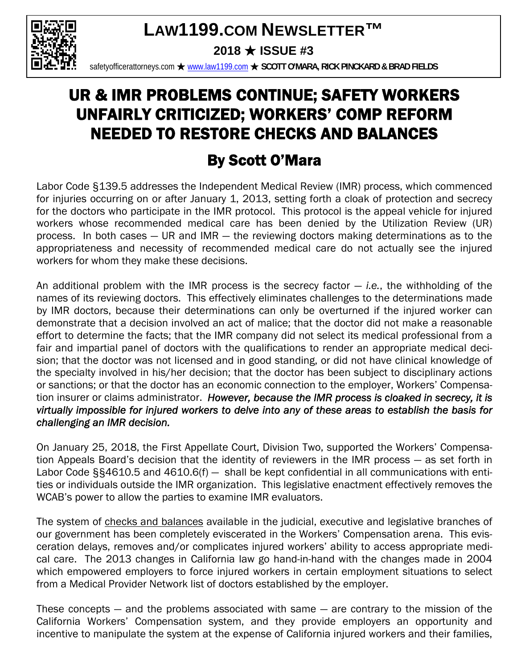# **LAW1199.COM NEWSLETTER™**



**2018** ★ **ISSUE #3** 

safetyofficerattorneys.com ★ www.law1199.com ★ **SCOTT O'MARA, RICK PINCKARD & BRAD FIELDS**

# UR & IMR PROBLEMS CONTINUE; SAFETY WORKERS UNFAIRLY CRITICIZED; WORKERS' COMP REFORM NEEDED TO RESTORE CHECKS AND BALANCES

## By Scott O'Mara

Labor Code §139.5 addresses the Independent Medical Review (IMR) process, which commenced for injuries occurring on or after January 1, 2013, setting forth a cloak of protection and secrecy for the doctors who participate in the IMR protocol. This protocol is the appeal vehicle for injured workers whose recommended medical care has been denied by the Utilization Review (UR) process. In both cases — UR and IMR — the reviewing doctors making determinations as to the appropriateness and necessity of recommended medical care do not actually see the injured workers for whom they make these decisions.

An additional problem with the IMR process is the secrecy factor — *i.e.*, the withholding of the names of its reviewing doctors. This effectively eliminates challenges to the determinations made by IMR doctors, because their determinations can only be overturned if the injured worker can demonstrate that a decision involved an act of malice; that the doctor did not make a reasonable effort to determine the facts; that the IMR company did not select its medical professional from a fair and impartial panel of doctors with the qualifications to render an appropriate medical decision; that the doctor was not licensed and in good standing, or did not have clinical knowledge of the specialty involved in his/her decision; that the doctor has been subject to disciplinary actions or sanctions; or that the doctor has an economic connection to the employer, Workers' Compensation insurer or claims administrator. *However, because the IMR process is cloaked in secrecy, it is virtually impossible for injured workers to delve into any of these areas to establish the basis for challenging an IMR decision.*

On January 25, 2018, the First Appellate Court, Division Two, supported the Workers' Compensation Appeals Board's decision that the identity of reviewers in the IMR process — as set forth in Labor Code §§4610.5 and 4610.6(f) - shall be kept confidential in all communications with entities or individuals outside the IMR organization. This legislative enactment effectively removes the WCAB's power to allow the parties to examine IMR evaluators.

The system of checks and balances available in the judicial, executive and legislative branches of our government has been completely eviscerated in the Workers' Compensation arena. This evisceration delays, removes and/or complicates injured workers' ability to access appropriate medical care. The 2013 changes in California law go hand-in-hand with the changes made in 2004 which empowered employers to force injured workers in certain employment situations to select from a Medical Provider Network list of doctors established by the employer.

These concepts  $-$  and the problems associated with same  $-$  are contrary to the mission of the California Workers' Compensation system, and they provide employers an opportunity and incentive to manipulate the system at the expense of California injured workers and their families,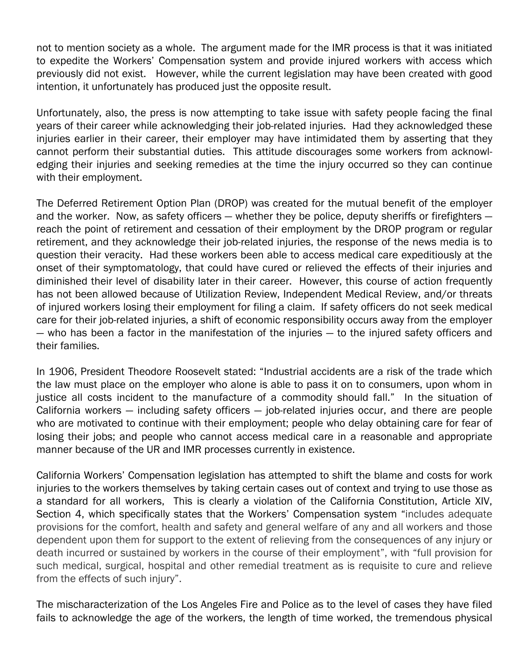not to mention society as a whole. The argument made for the IMR process is that it was initiated to expedite the Workers' Compensation system and provide injured workers with access which previously did not exist. However, while the current legislation may have been created with good intention, it unfortunately has produced just the opposite result.

Unfortunately, also, the press is now attempting to take issue with safety people facing the final years of their career while acknowledging their job-related injuries. Had they acknowledged these injuries earlier in their career, their employer may have intimidated them by asserting that they cannot perform their substantial duties. This attitude discourages some workers from acknowledging their injuries and seeking remedies at the time the injury occurred so they can continue with their employment.

The Deferred Retirement Option Plan (DROP) was created for the mutual benefit of the employer and the worker. Now, as safety officers — whether they be police, deputy sheriffs or firefighters reach the point of retirement and cessation of their employment by the DROP program or regular retirement, and they acknowledge their job-related injuries, the response of the news media is to question their veracity. Had these workers been able to access medical care expeditiously at the onset of their symptomatology, that could have cured or relieved the effects of their injuries and diminished their level of disability later in their career. However, this course of action frequently has not been allowed because of Utilization Review, Independent Medical Review, and/or threats of injured workers losing their employment for filing a claim. If safety officers do not seek medical care for their job-related injuries, a shift of economic responsibility occurs away from the employer — who has been a factor in the manifestation of the injuries — to the injured safety officers and their families.

In 1906, President Theodore Roosevelt stated: "Industrial accidents are a risk of the trade which the law must place on the employer who alone is able to pass it on to consumers, upon whom in justice all costs incident to the manufacture of a commodity should fall." In the situation of California workers — including safety officers — job-related injuries occur, and there are people who are motivated to continue with their employment; people who delay obtaining care for fear of losing their jobs; and people who cannot access medical care in a reasonable and appropriate manner because of the UR and IMR processes currently in existence.

California Workers' Compensation legislation has attempted to shift the blame and costs for work injuries to the workers themselves by taking certain cases out of context and trying to use those as a standard for all workers, This is clearly a violation of the California Constitution, Article XIV, Section 4, which specifically states that the Workers' Compensation system "includes adequate provisions for the comfort, health and safety and general welfare of any and all workers and those dependent upon them for support to the extent of relieving from the consequences of any injury or death incurred or sustained by workers in the course of their employment", with "full provision for such medical, surgical, hospital and other remedial treatment as is requisite to cure and relieve from the effects of such injury".

The mischaracterization of the Los Angeles Fire and Police as to the level of cases they have filed fails to acknowledge the age of the workers, the length of time worked, the tremendous physical